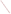